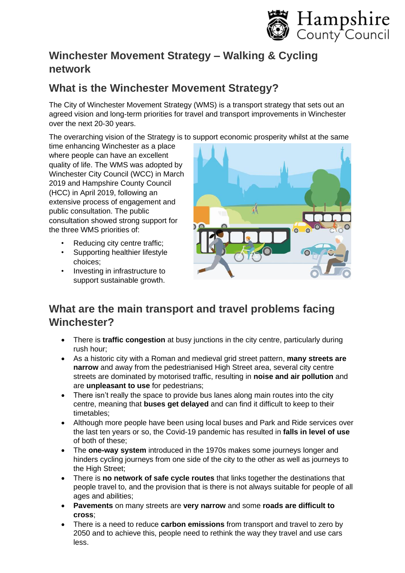

### **Winchester Movement Strategy – Walking & Cycling network**

# **What is the Winchester Movement Strategy?**

The City of Winchester Movement Strategy (WMS) is a transport strategy that sets out an agreed vision and long-term priorities for travel and transport improvements in Winchester over the next 20-30 years.

The overarching vision of the Strategy is to support economic prosperity whilst at the same

time enhancing Winchester as a place where people can have an excellent quality of life. The WMS was adopted by Winchester City Council (WCC) in March 2019 and Hampshire County Council (HCC) in April 2019, following an extensive process of engagement and public consultation. The public consultation showed strong support for the three WMS priorities of:

- Reducing city centre traffic;
- Supporting healthier lifestyle choices;
- Investing in infrastructure to support sustainable growth.



# **What are the main transport and travel problems facing Winchester?**

- There is **traffic congestion** at busy junctions in the city centre, particularly during rush hour;
- As a historic city with a Roman and medieval grid street pattern, **many streets are narrow** and away from the pedestrianised High Street area, several city centre streets are dominated by motorised traffic, resulting in **noise and air pollution** and are **unpleasant to use** for pedestrians;
- There isn't really the space to provide bus lanes along main routes into the city centre, meaning that **buses get delayed** and can find it difficult to keep to their timetables;
- Although more people have been using local buses and Park and Ride services over the last ten years or so, the Covid-19 pandemic has resulted in **falls in level of use** of both of these;
- The **one-way system** introduced in the 1970s makes some journeys longer and hinders cycling journeys from one side of the city to the other as well as journeys to the High Street;
- There is **no network of safe cycle routes** that links together the destinations that people travel to, and the provision that is there is not always suitable for people of all ages and abilities;
- **Pavements** on many streets are **very narrow** and some **roads are difficult to cross**;
- There is a need to reduce **carbon emissions** from transport and travel to zero by 2050 and to achieve this, people need to rethink the way they travel and use cars less.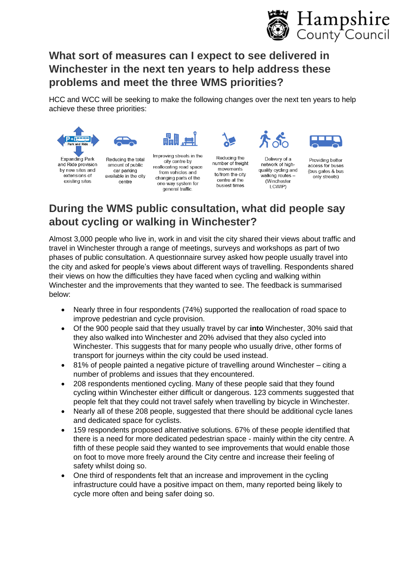

# **What sort of measures can I expect to see delivered in Winchester in the next ten years to help address these problems and meet the three WMS priorities?**

HCC and WCC will be seeking to make the following changes over the next ten years to help achieve these three priorities:





extensions of existing sites

Reducing the total amount of public car parking available in the city centre

Improving streets in the city centre by reallocating road space from vehicles and changing parts of the one-way system for general traffic.

HH.

Reducing the number of freight movements to/from the city centre at the busiest times

Delivery of a network of highquality cycling and walking routes -(Winchester

LCWIP)



Providing better access for buses (bus gates & bus only streets)

# **During the WMS public consultation, what did people say about cycling or walking in Winchester?**

Almost 3,000 people who live in, work in and visit the city shared their views about traffic and travel in Winchester through a range of meetings, surveys and workshops as part of two phases of public consultation. A questionnaire survey asked how people usually travel into the city and asked for people's views about different ways of travelling. Respondents shared their views on how the difficulties they have faced when cycling and walking within Winchester and the improvements that they wanted to see. The feedback is summarised below:

- Nearly three in four respondents (74%) supported the reallocation of road space to improve pedestrian and cycle provision.
- Of the 900 people said that they usually travel by car **into** Winchester, 30% said that they also walked into Winchester and 20% advised that they also cycled into Winchester. This suggests that for many people who usually drive, other forms of transport for journeys within the city could be used instead.
- 81% of people painted a negative picture of travelling around Winchester citing a number of problems and issues that they encountered.
- 208 respondents mentioned cycling. Many of these people said that they found cycling within Winchester either difficult or dangerous. 123 comments suggested that people felt that they could not travel safely when travelling by bicycle in Winchester.
- Nearly all of these 208 people, suggested that there should be additional cycle lanes and dedicated space for cyclists.
- 159 respondents proposed alternative solutions. 67% of these people identified that there is a need for more dedicated pedestrian space - mainly within the city centre. A fifth of these people said they wanted to see improvements that would enable those on foot to move more freely around the City centre and increase their feeling of safety whilst doing so.
- One third of respondents felt that an increase and improvement in the cycling infrastructure could have a positive impact on them, many reported being likely to cycle more often and being safer doing so.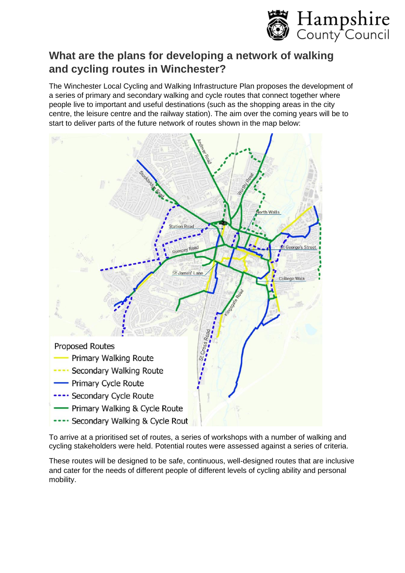

## **What are the plans for developing a network of walking and cycling routes in Winchester?**

The Winchester Local Cycling and Walking Infrastructure Plan proposes the development of a series of primary and secondary walking and cycle routes that connect together where people live to important and useful destinations (such as the shopping areas in the city centre, the leisure centre and the railway station). The aim over the coming years will be to start to deliver parts of the future network of routes shown in the map below:



To arrive at a prioritised set of routes, a series of workshops with a number of walking and cycling stakeholders were held. Potential routes were assessed against a series of criteria.

These routes will be designed to be safe, continuous, well-designed routes that are inclusive and cater for the needs of different people of different levels of cycling ability and personal mobility.